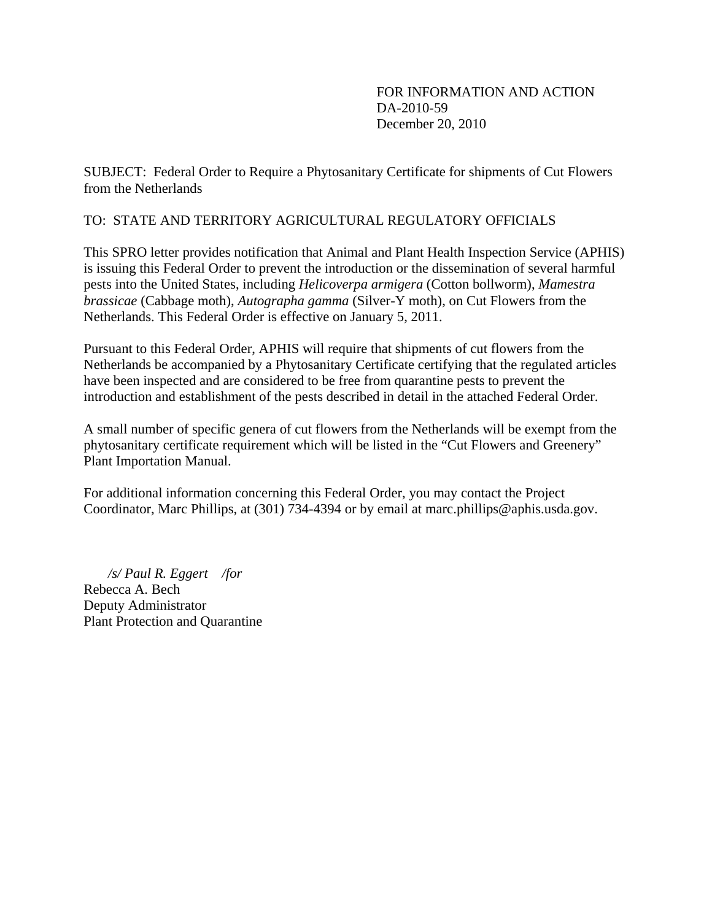FOR INFORMATION AND ACTION DA-2010-59 December 20, 2010

SUBJECT: Federal Order to Require a Phytosanitary Certificate for shipments of Cut Flowers from the Netherlands

### TO: STATE AND TERRITORY AGRICULTURAL REGULATORY OFFICIALS

This SPRO letter provides notification that Animal and Plant Health Inspection Service (APHIS) is issuing this Federal Order to prevent the introduction or the dissemination of several harmful pests into the United States, including *Helicoverpa armigera* (Cotton bollworm), *Mamestra brassicae* (Cabbage moth), *Autographa gamma* (Silver-Y moth), on Cut Flowers from the Netherlands. This Federal Order is effective on January 5, 2011.

Pursuant to this Federal Order, APHIS will require that shipments of cut flowers from the Netherlands be accompanied by a Phytosanitary Certificate certifying that the regulated articles have been inspected and are considered to be free from quarantine pests to prevent the introduction and establishment of the pests described in detail in the attached Federal Order.

A small number of specific genera of cut flowers from the Netherlands will be exempt from the phytosanitary certificate requirement which will be listed in the "Cut Flowers and Greenery" Plant Importation Manual.

For additional information concerning this Federal Order, you may contact the Project Coordinator, Marc Phillips, at (301) 734-4394 or by email at marc.phillips@aphis.usda.gov.

 */s/ Paul R. Eggert /for*  Rebecca A. Bech Deputy Administrator Plant Protection and Quarantine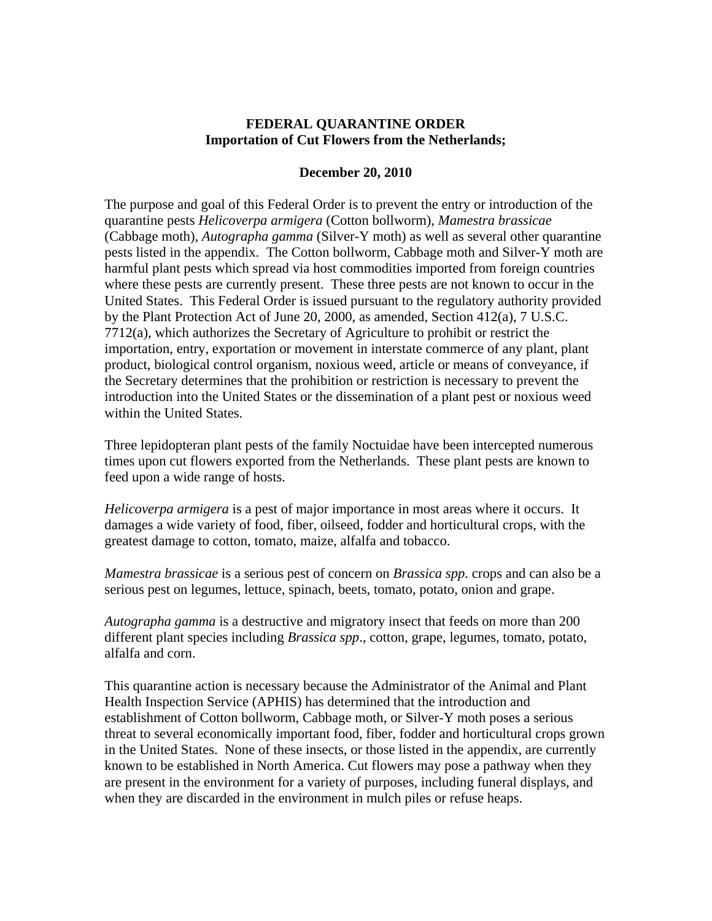#### **FEDERAL QUARANTINE ORDER Importation of Cut Flowers from the Netherlands;**

#### **December 20, 2010**

The purpose and goal of this Federal Order is to prevent the entry or introduction of the quarantine pests *Helicoverpa armigera* (Cotton bollworm), *Mamestra brassicae* (Cabbage moth), *Autographa gamma* (Silver-Y moth) as well as several other quarantine pests listed in the appendix. The Cotton bollworm, Cabbage moth and Silver-Y moth are harmful plant pests which spread via host commodities imported from foreign countries where these pests are currently present. These three pests are not known to occur in the United States. This Federal Order is issued pursuant to the regulatory authority provided by the Plant Protection Act of June 20, 2000, as amended, Section 412(a), 7 U.S.C. 7712(a), which authorizes the Secretary of Agriculture to prohibit or restrict the importation, entry, exportation or movement in interstate commerce of any plant, plant product, biological control organism, noxious weed, article or means of conveyance, if the Secretary determines that the prohibition or restriction is necessary to prevent the introduction into the United States or the dissemination of a plant pest or noxious weed within the United States.

Three lepidopteran plant pests of the family Noctuidae have been intercepted numerous times upon cut flowers exported from the Netherlands. These plant pests are known to feed upon a wide range of hosts.

*Helicoverpa armigera* is a pest of major importance in most areas where it occurs. It damages a wide variety of food, fiber, oilseed, fodder and horticultural crops, with the greatest damage to cotton, tomato, maize, alfalfa and tobacco.

*Mamestra brassicae* is a serious pest of concern on *Brassica spp*. crops and can also be a serious pest on legumes, lettuce, spinach, beets, tomato, potato, onion and grape.

*Autographa gamma* is a destructive and migratory insect that feeds on more than 200 different plant species including *Brassica spp*., cotton, grape, legumes, tomato, potato, alfalfa and corn.

This quarantine action is necessary because the Administrator of the Animal and Plant Health Inspection Service (APHIS) has determined that the introduction and establishment of Cotton bollworm, Cabbage moth, or Silver-Y moth poses a serious threat to several economically important food, fiber, fodder and horticultural crops grown in the United States. None of these insects, or those listed in the appendix, are currently known to be established in North America. Cut flowers may pose a pathway when they are present in the environment for a variety of purposes, including funeral displays, and when they are discarded in the environment in mulch piles or refuse heaps.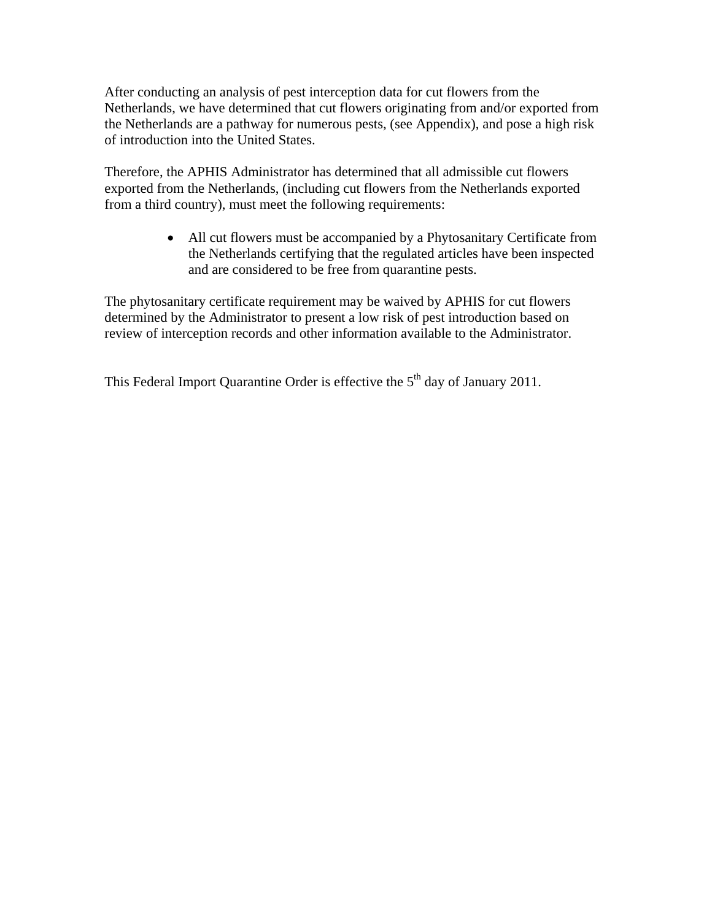After conducting an analysis of pest interception data for cut flowers from the Netherlands, we have determined that cut flowers originating from and/or exported from the Netherlands are a pathway for numerous pests, (see Appendix), and pose a high risk of introduction into the United States.

Therefore, the APHIS Administrator has determined that all admissible cut flowers exported from the Netherlands, (including cut flowers from the Netherlands exported from a third country), must meet the following requirements:

> All cut flowers must be accompanied by a Phytosanitary Certificate from the Netherlands certifying that the regulated articles have been inspected and are considered to be free from quarantine pests.

The phytosanitary certificate requirement may be waived by APHIS for cut flowers determined by the Administrator to present a low risk of pest introduction based on review of interception records and other information available to the Administrator.

This Federal Import Quarantine Order is effective the  $5<sup>th</sup>$  day of January 2011.